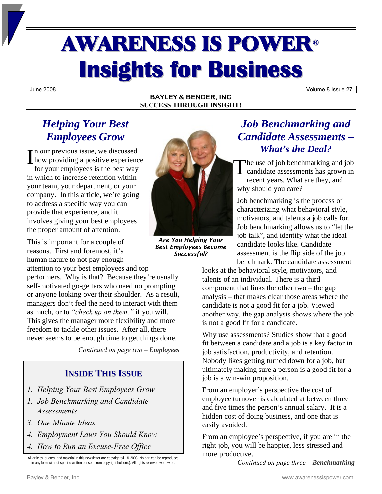# AWARENESS IS POWER<sup>ü</sup> **Insights for Business**

June 2008 Volume 8 Issue 27

#### **BAYLEY & BENDER, INC SUCCESS THROUGH INSIGHT!**

## *Helping Your Best Employees Grow*

how providing a positive experience

for your employees is the best way in which to increase retention within your team, your department, or your company. In this article, we're going to address a specific way you can provide that experience, and it involves giving your best employees the proper amount of attention.

This is important for a couple of reasons. First and foremost, it's human nature to not pay enough

attention to your best employees and top performers. Why is that? Because they're usually self-motivated go-getters who need no prompting or anyone looking over their shoulder. As a result, managers don't feel the need to interact with them as much, or to *"check up on them,"* if you will. This gives the manager more flexibility and more freedom to tackle other issues. After all, there never seems to be enough time to get things done.

*Continued on page two – Employees* 

### **INSIDE THIS ISSUE**

- *1. Helping Your Best Employees Grow*
- *1. Job Benchmarking and Candidate Assessments*
- *3. One Minute Ideas*
- *4. Employment Laws You Should Know*
- *4. How to Run an Excuse-Free Office*

All articles, quotes, and material in this newsletter are copyrighted. © 2008. No part can be reproduced in any form without specific written consent from copyright holder(s). All rights reserved worldwide.



*Are You Helping Your Best Employees Become Successful?*

## *Job Benchmarking and Candidate Assessments – What's the Deal?*

he use of job benchmarking and job candidate assessments has grown in recent years. What are they, and why should you care?

Job benchmarking is the process of characterizing what behavioral style, motivators, and talents a job calls for. Job benchmarking allows us to "let the job talk", and identify what the ideal candidate looks like. Candidate assessment is the flip side of the job benchmark. The candidate assessment

looks at the behavioral style, motivators, and talents of an individual. There is a third component that links the other two – the gap analysis – that makes clear those areas where the candidate is not a good fit for a job. Viewed another way, the gap analysis shows where the job is not a good fit for a candidate.

Why use assessments? Studies show that a good fit between a candidate and a job is a key factor in job satisfaction, productivity, and retention. Nobody likes getting turned down for a job, but ultimately making sure a person is a good fit for a job is a win-win proposition.

From an employer's perspective the cost of employee turnover is calculated at between three and five times the person's annual salary. It is a hidden cost of doing business, and one that is easily avoided.

From an employee's perspective, if you are in the right job, you will be happier, less stressed and more productive.

*Continued on page three – Benchmarking*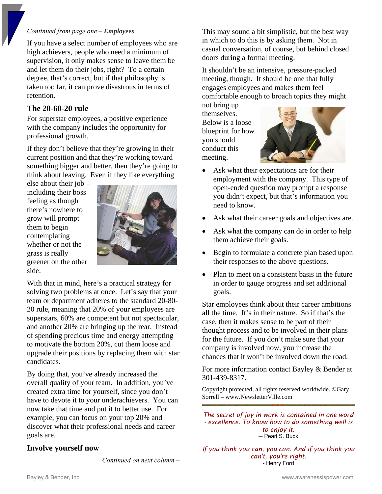#### *Continued from page one – Employees*

If you have a select number of employees who are high achievers, people who need a minimum of supervision, it only makes sense to leave them be and let them do their jobs, right? To a certain degree, that's correct, but if that philosophy is taken too far, it can prove disastrous in terms of retention.

#### **The 20-60-20 rule**

For superstar employees, a positive experience with the company includes the opportunity for professional growth.

If they don't believe that they're growing in their current position and that they're working toward something bigger and better, then they're going to think about leaving. Even if they like everything

else about their job – including their boss – feeling as though there's nowhere to grow will prompt them to begin contemplating whether or not the grass is really greener on the other side.



With that in mind, here's a practical strategy for solving two problems at once. Let's say that your team or department adheres to the standard 20-80- 20 rule, meaning that 20% of your employees are superstars, 60% are competent but not spectacular, and another 20% are bringing up the rear. Instead of spending precious time and energy attempting to motivate the bottom 20%, cut them loose and upgrade their positions by replacing them with star candidates.

By doing that, you've already increased the overall quality of your team. In addition, you've created extra time for yourself, since you don't have to devote it to your underachievers. You can now take that time and put it to better use. For example, you can focus on your top 20% and discover what their professional needs and career goals are.

#### **Involve yourself now**

*Continued on next column –* 

This may sound a bit simplistic, but the best way in which to do this is by asking them. Not in casual conversation, of course, but behind closed doors during a formal meeting.

It shouldn't be an intensive, pressure-packed meeting, though. It should be one that fully engages employees and makes them feel comfortable enough to broach topics they might

not bring up themselves. Below is a loose blueprint for how you should conduct this meeting.



- Ask what their expectations are for their employment with the company. This type of open-ended question may prompt a response you didn't expect, but that's information you need to know.
- Ask what their career goals and objectives are.
- Ask what the company can do in order to help them achieve their goals.
- Begin to formulate a concrete plan based upon their responses to the above questions.
- Plan to meet on a consistent basis in the future in order to gauge progress and set additional goals.

Star employees think about their career ambitions all the time. It's in their nature. So if that's the case, then it makes sense to be part of their thought process and to be involved in their plans for the future. If you don't make sure that your company is involved now, you increase the chances that it won't be involved down the road.

For more information contact Bayley & Bender at 301-439-8317.

Copyright protected, all rights reserved worldwide. ©Gary Sorrell – www.NewsletterVille.com

*The secret of joy in work is contained in one word - excellence. To know how to do something well is to enjoy it.*  ─ Pearl S. Buck

*If you think you can, you can. And if you think you can't, you're right.* - Henry Ford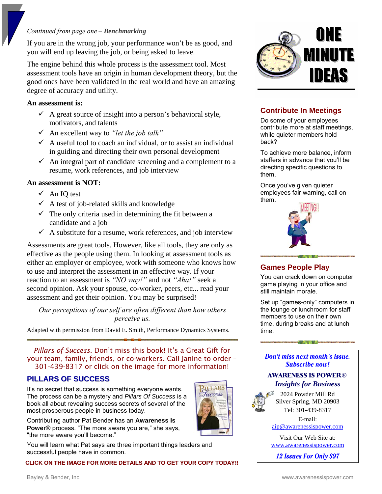#### *Continued from page one – Benchmarking*

If you are in the wrong job, your performance won't be as good, and you will end up leaving the job, or being asked to leave.

The engine behind this whole process is the assessment tool. Most assessment tools have an origin in human development theory, but the good ones have been validated in the real world and have an amazing degree of accuracy and utility.

#### **An assessment is:**

- $\checkmark$  A great source of insight into a person's behavioral style, motivators, and talents
- 9 An excellent way to *"let the job talk"*
- $\checkmark$  A useful tool to coach an individual, or to assist an individual in guiding and directing their own personal development
- $\checkmark$  An integral part of candidate screening and a complement to a resume, work references, and job interview

#### **An assessment is NOT:**

- $\checkmark$  An IQ test
- $\checkmark$  A test of job-related skills and knowledge
- $\checkmark$  The only criteria used in determining the fit between a candidate and a job
- $\checkmark$  A substitute for a resume, work references, and job interview

Assessments are great tools. However, like all tools, they are only as effective as the people using them. In looking at assessment tools as either an employer or employee, work with someone who knows how to use and interpret the assessment in an effective way. If your reaction to an assessment is *"NO way!"* and not *"Aha!"* seek a second opinion. Ask your spouse, co-worker, peers, etc... read your assessment and get their opinion. You may be surprised!

*Our perceptions of our self are often different than how others perceive us.* 

Adapted with permission from David E. Smith, Performance Dynamics Systems.

*Pillars of Success.* Don't miss this book! It's a Great Gift for your team, family, friends, or co-workers. Call Janine to order – 301-439-8317 or click on the image for more information!

#### **PILLARS OF SUCCESS**

It's no secret that success is something everyone wants. The process can be a mystery and *Pillars Of Success* is a book all about revealing success secrets of several of the most prosperous people in business today.

Contributing author Pat Bender has an **Awareness Is Power**® process. "The more aware you are," she says, "the more aware you'll become."

You will learn what Pat says are three important things leaders and successful people have in common.

**CLICK ON THE IMAGE FOR MORE DETAILS AND TO GET YOUR COPY TODAY!!**



#### **Contribute In Meetings**

Do some of your employees contribute more at staff meetings, while quieter members hold back?

To achieve more balance, inform staffers in advance that you'll be directing specific questions to them.

Once you've given quieter employees fair warning, call on them.



#### **Games People Play**

You can crack down on computer game playing in your office and still maintain morale.

Set up "games-only" computers in the lounge or lunchroom for staff members to use on their own time, during breaks and at lunch time.

Don't miss next month's issue. **Subscribe now!** 

大 功夫 化二烯六

#### **AWARENESS IS POWER®** *Insights for Business*

2024 Powder Mill Rd Silver Spring, MD 20903 Tel: 301-439-8317

E-mail: [aip@awarenessispower.com](mailto:aip@awarenessispower.com)

Visit Our Web Site at: [www.awarenessispower.com](http://www.awarenessispower.com/)

12 **Issues For Only \$97**